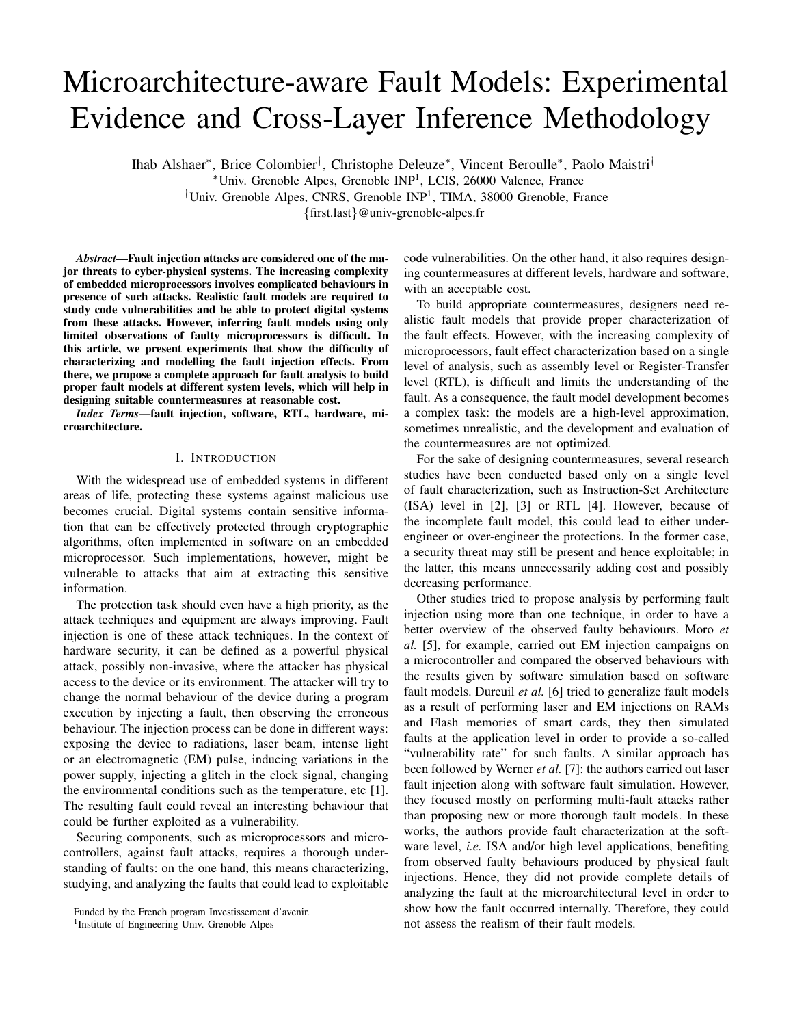# Microarchitecture-aware Fault Models: Experimental Evidence and Cross-Layer Inference Methodology

Ihab Alshaer<sup>∗</sup> , Brice Colombier† , Christophe Deleuze<sup>∗</sup> , Vincent Beroulle<sup>∗</sup> , Paolo Maistri†

<sup>∗</sup>Univ. Grenoble Alpes, Grenoble INP<sup>1</sup> , LCIS, 26000 Valence, France

<sup>†</sup>Univ. Grenoble Alpes, CNRS, Grenoble INP<sup>1</sup>, TIMA, 38000 Grenoble, France

{first.last}@univ-grenoble-alpes.fr

*Abstract*—Fault injection attacks are considered one of the major threats to cyber-physical systems. The increasing complexity of embedded microprocessors involves complicated behaviours in presence of such attacks. Realistic fault models are required to study code vulnerabilities and be able to protect digital systems from these attacks. However, inferring fault models using only limited observations of faulty microprocessors is difficult. In this article, we present experiments that show the difficulty of characterizing and modelling the fault injection effects. From there, we propose a complete approach for fault analysis to build proper fault models at different system levels, which will help in designing suitable countermeasures at reasonable cost.

*Index Terms*—fault injection, software, RTL, hardware, microarchitecture.

## I. INTRODUCTION

With the widespread use of embedded systems in different areas of life, protecting these systems against malicious use becomes crucial. Digital systems contain sensitive information that can be effectively protected through cryptographic algorithms, often implemented in software on an embedded microprocessor. Such implementations, however, might be vulnerable to attacks that aim at extracting this sensitive information.

The protection task should even have a high priority, as the attack techniques and equipment are always improving. Fault injection is one of these attack techniques. In the context of hardware security, it can be defined as a powerful physical attack, possibly non-invasive, where the attacker has physical access to the device or its environment. The attacker will try to change the normal behaviour of the device during a program execution by injecting a fault, then observing the erroneous behaviour. The injection process can be done in different ways: exposing the device to radiations, laser beam, intense light or an electromagnetic (EM) pulse, inducing variations in the power supply, injecting a glitch in the clock signal, changing the environmental conditions such as the temperature, etc [1]. The resulting fault could reveal an interesting behaviour that could be further exploited as a vulnerability.

Securing components, such as microprocessors and microcontrollers, against fault attacks, requires a thorough understanding of faults: on the one hand, this means characterizing, studying, and analyzing the faults that could lead to exploitable code vulnerabilities. On the other hand, it also requires designing countermeasures at different levels, hardware and software, with an acceptable cost.

To build appropriate countermeasures, designers need realistic fault models that provide proper characterization of the fault effects. However, with the increasing complexity of microprocessors, fault effect characterization based on a single level of analysis, such as assembly level or Register-Transfer level (RTL), is difficult and limits the understanding of the fault. As a consequence, the fault model development becomes a complex task: the models are a high-level approximation, sometimes unrealistic, and the development and evaluation of the countermeasures are not optimized.

For the sake of designing countermeasures, several research studies have been conducted based only on a single level of fault characterization, such as Instruction-Set Architecture (ISA) level in [2], [3] or RTL [4]. However, because of the incomplete fault model, this could lead to either underengineer or over-engineer the protections. In the former case, a security threat may still be present and hence exploitable; in the latter, this means unnecessarily adding cost and possibly decreasing performance.

Other studies tried to propose analysis by performing fault injection using more than one technique, in order to have a better overview of the observed faulty behaviours. Moro *et al.* [5], for example, carried out EM injection campaigns on a microcontroller and compared the observed behaviours with the results given by software simulation based on software fault models. Dureuil *et al.* [6] tried to generalize fault models as a result of performing laser and EM injections on RAMs and Flash memories of smart cards, they then simulated faults at the application level in order to provide a so-called "vulnerability rate" for such faults. A similar approach has been followed by Werner *et al.* [7]: the authors carried out laser fault injection along with software fault simulation. However, they focused mostly on performing multi-fault attacks rather than proposing new or more thorough fault models. In these works, the authors provide fault characterization at the software level, *i.e.* ISA and/or high level applications, benefiting from observed faulty behaviours produced by physical fault injections. Hence, they did not provide complete details of analyzing the fault at the microarchitectural level in order to show how the fault occurred internally. Therefore, they could not assess the realism of their fault models.

Funded by the French program Investissement d'avenir.

<sup>&</sup>lt;sup>1</sup> Institute of Engineering Univ. Grenoble Alpes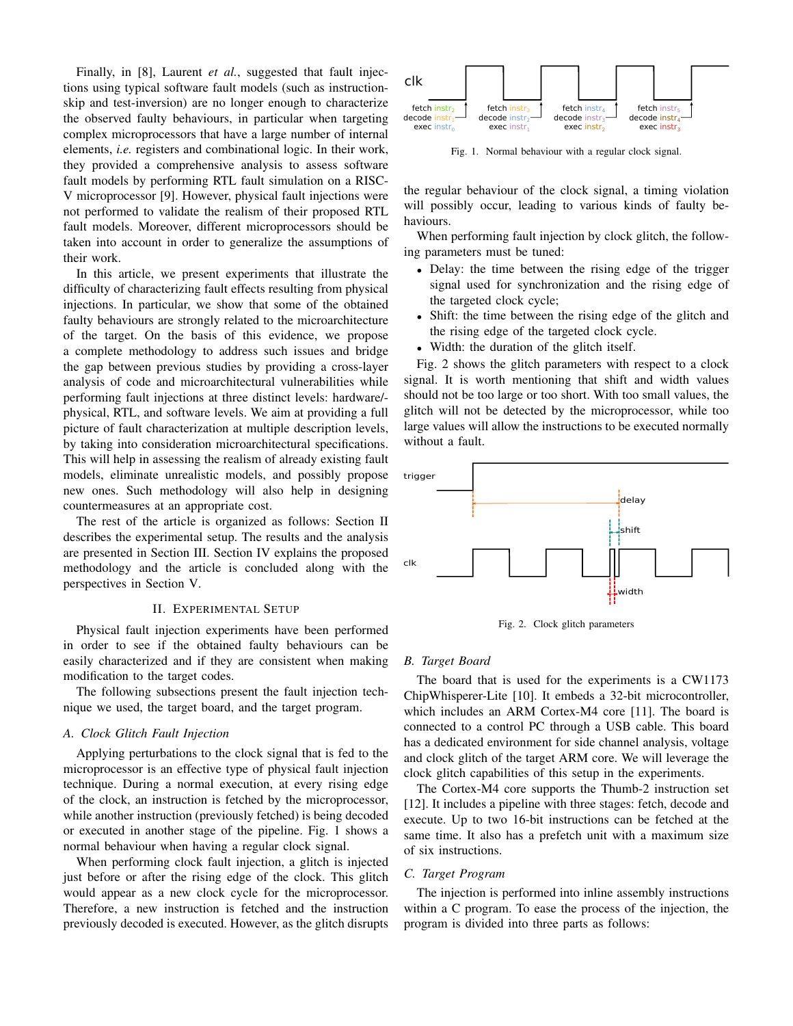Finally, in [8], Laurent *et al.*, suggested that fault injections using typical software fault models (such as instructionskip and test-inversion) are no longer enough to characterize the observed faulty behaviours, in particular when targeting complex microprocessors that have a large number of internal elements, *i.e.* registers and combinational logic. In their work, they provided a comprehensive analysis to assess software fault models by performing RTL fault simulation on a RISC-V microprocessor [9]. However, physical fault injections were not performed to validate the realism of their proposed RTL fault models. Moreover, different microprocessors should be taken into account in order to generalize the assumptions of their work.

In this article, we present experiments that illustrate the difficulty of characterizing fault effects resulting from physical injections. In particular, we show that some of the obtained faulty behaviours are strongly related to the microarchitecture of the target. On the basis of this evidence, we propose a complete methodology to address such issues and bridge the gap between previous studies by providing a cross-layer analysis of code and microarchitectural vulnerabilities while performing fault injections at three distinct levels: hardware/ physical, RTL, and software levels. We aim at providing a full picture of fault characterization at multiple description levels, by taking into consideration microarchitectural specifications. This will help in assessing the realism of already existing fault models, eliminate unrealistic models, and possibly propose new ones. Such methodology will also help in designing countermeasures at an appropriate cost.

The rest of the article is organized as follows: Section II describes the experimental setup. The results and the analysis are presented in Section III. Section IV explains the proposed methodology and the article is concluded along with the perspectives in Section V.

#### II. EXPERIMENTAL SETUP

Physical fault injection experiments have been performed in order to see if the obtained faulty behaviours can be easily characterized and if they are consistent when making modification to the target codes.

The following subsections present the fault injection technique we used, the target board, and the target program.

### *A. Clock Glitch Fault Injection*

Applying perturbations to the clock signal that is fed to the microprocessor is an effective type of physical fault injection technique. During a normal execution, at every rising edge of the clock, an instruction is fetched by the microprocessor, while another instruction (previously fetched) is being decoded or executed in another stage of the pipeline. Fig. 1 shows a normal behaviour when having a regular clock signal.

When performing clock fault injection, a glitch is injected just before or after the rising edge of the clock. This glitch would appear as a new clock cycle for the microprocessor. Therefore, a new instruction is fetched and the instruction previously decoded is executed. However, as the glitch disrupts



Fig. 1. Normal behaviour with a regular clock signal.

the regular behaviour of the clock signal, a timing violation will possibly occur, leading to various kinds of faulty behaviours.

When performing fault injection by clock glitch, the following parameters must be tuned:

- Delay: the time between the rising edge of the trigger signal used for synchronization and the rising edge of the targeted clock cycle;
- Shift: the time between the rising edge of the glitch and the rising edge of the targeted clock cycle.
- Width: the duration of the glitch itself.

Fig. 2 shows the glitch parameters with respect to a clock signal. It is worth mentioning that shift and width values should not be too large or too short. With too small values, the glitch will not be detected by the microprocessor, while too large values will allow the instructions to be executed normally without a fault.



Fig. 2. Clock glitch parameters

#### *B. Target Board*

The board that is used for the experiments is a CW1173 ChipWhisperer-Lite [10]. It embeds a 32-bit microcontroller, which includes an ARM Cortex-M4 core [11]. The board is connected to a control PC through a USB cable. This board has a dedicated environment for side channel analysis, voltage and clock glitch of the target ARM core. We will leverage the clock glitch capabilities of this setup in the experiments.

The Cortex-M4 core supports the Thumb-2 instruction set [12]. It includes a pipeline with three stages: fetch, decode and execute. Up to two 16-bit instructions can be fetched at the same time. It also has a prefetch unit with a maximum size of six instructions.

#### *C. Target Program*

The injection is performed into inline assembly instructions within a C program. To ease the process of the injection, the program is divided into three parts as follows: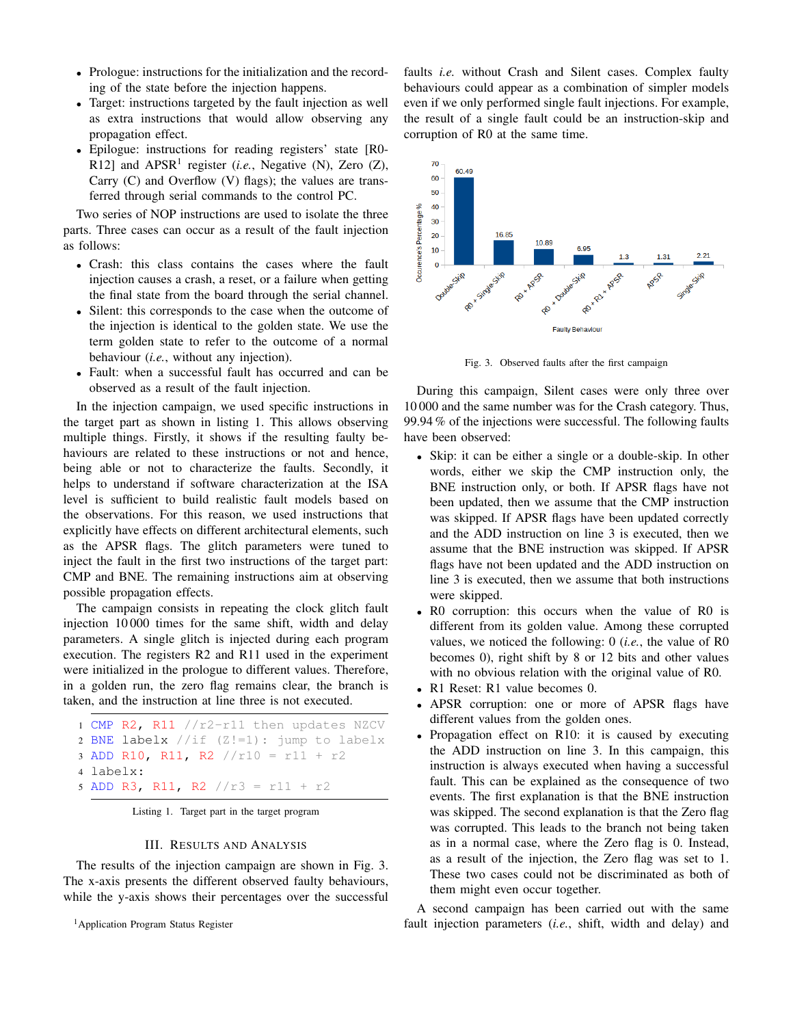- Prologue: instructions for the initialization and the recording of the state before the injection happens.
- Target: instructions targeted by the fault injection as well as extra instructions that would allow observing any propagation effect.
- Epilogue: instructions for reading registers' state [R0- R12] and  $APSR<sup>1</sup>$  register (*i.e.*, Negative (N), Zero (Z), Carry  $(C)$  and Overflow  $(V)$  flags); the values are transferred through serial commands to the control PC.

Two series of NOP instructions are used to isolate the three parts. Three cases can occur as a result of the fault injection as follows:

- Crash: this class contains the cases where the fault injection causes a crash, a reset, or a failure when getting the final state from the board through the serial channel.
- Silent: this corresponds to the case when the outcome of the injection is identical to the golden state. We use the term golden state to refer to the outcome of a normal behaviour (*i.e.*, without any injection).
- Fault: when a successful fault has occurred and can be observed as a result of the fault injection.

In the injection campaign, we used specific instructions in the target part as shown in listing 1. This allows observing multiple things. Firstly, it shows if the resulting faulty behaviours are related to these instructions or not and hence, being able or not to characterize the faults. Secondly, it helps to understand if software characterization at the ISA level is sufficient to build realistic fault models based on the observations. For this reason, we used instructions that explicitly have effects on different architectural elements, such as the APSR flags. The glitch parameters were tuned to inject the fault in the first two instructions of the target part: CMP and BNE. The remaining instructions aim at observing possible propagation effects.

The campaign consists in repeating the clock glitch fault injection 10 000 times for the same shift, width and delay parameters. A single glitch is injected during each program execution. The registers R2 and R11 used in the experiment were initialized in the prologue to different values. Therefore, in a golden run, the zero flag remains clear, the branch is taken, and the instruction at line three is not executed.

```
1 CMP R2, R11 //r2-r11 then updates NZCV
2 BNE labelx //if (Z!=1): jump to labelx
3 ADD R10, R11, R2 //r10 = r11 + r2
4 labelx:
5 ADD R3, R11, R2 //r3 = r11 + r2
```
Listing 1. Target part in the target program

#### III. RESULTS AND ANALYSIS

The results of the injection campaign are shown in Fig. 3. The x-axis presents the different observed faulty behaviours, while the y-axis shows their percentages over the successful

<sup>1</sup> Application Program Status Register

faults *i.e.* without Crash and Silent cases. Complex faulty behaviours could appear as a combination of simpler models even if we only performed single fault injections. For example, the result of a single fault could be an instruction-skip and corruption of R0 at the same time.



Fig. 3. Observed faults after the first campaign

During this campaign, Silent cases were only three over 10 000 and the same number was for the Crash category. Thus, 99.94 % of the injections were successful. The following faults have been observed:

- Skip: it can be either a single or a double-skip. In other words, either we skip the CMP instruction only, the BNE instruction only, or both. If APSR flags have not been updated, then we assume that the CMP instruction was skipped. If APSR flags have been updated correctly and the ADD instruction on line 3 is executed, then we assume that the BNE instruction was skipped. If APSR flags have not been updated and the ADD instruction on line 3 is executed, then we assume that both instructions were skipped.
- R0 corruption: this occurs when the value of R0 is different from its golden value. Among these corrupted values, we noticed the following: 0 (*i.e.*, the value of R0 becomes 0), right shift by 8 or 12 bits and other values with no obvious relation with the original value of R0.
- R1 Reset: R1 value becomes 0.
- APSR corruption: one or more of APSR flags have different values from the golden ones.
- Propagation effect on R10: it is caused by executing the ADD instruction on line 3. In this campaign, this instruction is always executed when having a successful fault. This can be explained as the consequence of two events. The first explanation is that the BNE instruction was skipped. The second explanation is that the Zero flag was corrupted. This leads to the branch not being taken as in a normal case, where the Zero flag is 0. Instead, as a result of the injection, the Zero flag was set to 1. These two cases could not be discriminated as both of them might even occur together.

A second campaign has been carried out with the same fault injection parameters (*i.e.*, shift, width and delay) and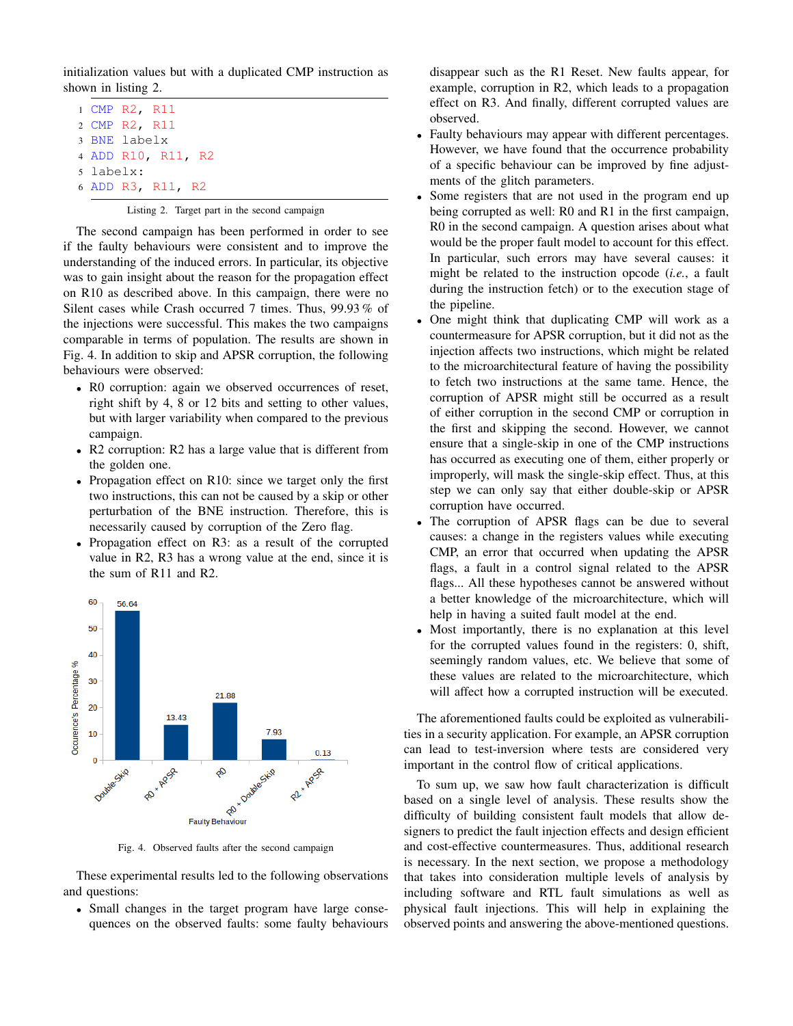initialization values but with a duplicated CMP instruction as shown in listing 2.

 CMP R2, R11 CMP R2, R11 BNE labelx ADD R10, R11, R2 5 labelx: ADD R3, R11, R2

# Listing 2. Target part in the second campaign

The second campaign has been performed in order to see if the faulty behaviours were consistent and to improve the understanding of the induced errors. In particular, its objective was to gain insight about the reason for the propagation effect on R10 as described above. In this campaign, there were no Silent cases while Crash occurred 7 times. Thus, 99.93 % of the injections were successful. This makes the two campaigns comparable in terms of population. The results are shown in Fig. 4. In addition to skip and APSR corruption, the following behaviours were observed:

- R0 corruption: again we observed occurrences of reset, right shift by 4, 8 or 12 bits and setting to other values, but with larger variability when compared to the previous campaign.
- R2 corruption: R2 has a large value that is different from the golden one.
- Propagation effect on R10: since we target only the first two instructions, this can not be caused by a skip or other perturbation of the BNE instruction. Therefore, this is necessarily caused by corruption of the Zero flag.
- Propagation effect on R3: as a result of the corrupted value in R2, R3 has a wrong value at the end, since it is the sum of R11 and R2.



Fig. 4. Observed faults after the second campaign

These experimental results led to the following observations and questions:

• Small changes in the target program have large consequences on the observed faults: some faulty behaviours disappear such as the R1 Reset. New faults appear, for example, corruption in R2, which leads to a propagation effect on R3. And finally, different corrupted values are observed.

- Faulty behaviours may appear with different percentages. However, we have found that the occurrence probability of a specific behaviour can be improved by fine adjustments of the glitch parameters.
- Some registers that are not used in the program end up being corrupted as well: R0 and R1 in the first campaign, R0 in the second campaign. A question arises about what would be the proper fault model to account for this effect. In particular, such errors may have several causes: it might be related to the instruction opcode (*i.e.*, a fault during the instruction fetch) or to the execution stage of the pipeline.
- One might think that duplicating CMP will work as a countermeasure for APSR corruption, but it did not as the injection affects two instructions, which might be related to the microarchitectural feature of having the possibility to fetch two instructions at the same tame. Hence, the corruption of APSR might still be occurred as a result of either corruption in the second CMP or corruption in the first and skipping the second. However, we cannot ensure that a single-skip in one of the CMP instructions has occurred as executing one of them, either properly or improperly, will mask the single-skip effect. Thus, at this step we can only say that either double-skip or APSR corruption have occurred.
- The corruption of APSR flags can be due to several causes: a change in the registers values while executing CMP, an error that occurred when updating the APSR flags, a fault in a control signal related to the APSR flags... All these hypotheses cannot be answered without a better knowledge of the microarchitecture, which will help in having a suited fault model at the end.
- Most importantly, there is no explanation at this level for the corrupted values found in the registers: 0, shift, seemingly random values, etc. We believe that some of these values are related to the microarchitecture, which will affect how a corrupted instruction will be executed.

The aforementioned faults could be exploited as vulnerabilities in a security application. For example, an APSR corruption can lead to test-inversion where tests are considered very important in the control flow of critical applications.

To sum up, we saw how fault characterization is difficult based on a single level of analysis. These results show the difficulty of building consistent fault models that allow designers to predict the fault injection effects and design efficient and cost-effective countermeasures. Thus, additional research is necessary. In the next section, we propose a methodology that takes into consideration multiple levels of analysis by including software and RTL fault simulations as well as physical fault injections. This will help in explaining the observed points and answering the above-mentioned questions.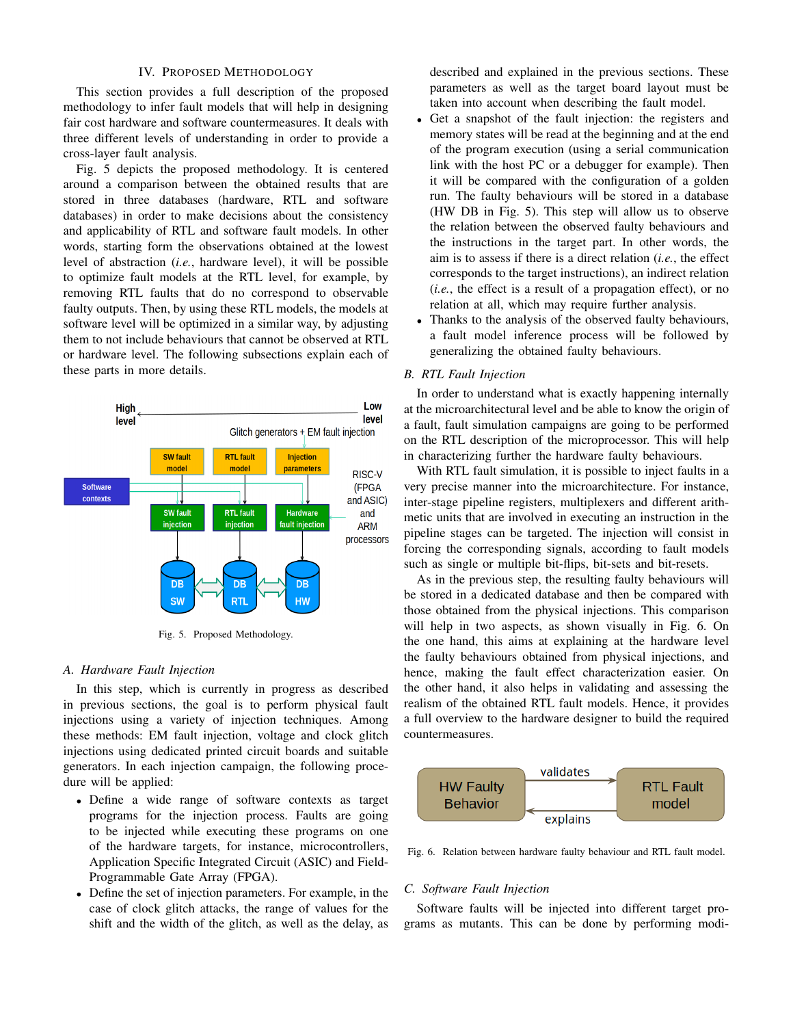#### IV. PROPOSED METHODOLOGY

This section provides a full description of the proposed methodology to infer fault models that will help in designing fair cost hardware and software countermeasures. It deals with three different levels of understanding in order to provide a cross-layer fault analysis.

Fig. 5 depicts the proposed methodology. It is centered around a comparison between the obtained results that are stored in three databases (hardware, RTL and software databases) in order to make decisions about the consistency and applicability of RTL and software fault models. In other words, starting form the observations obtained at the lowest level of abstraction (*i.e.*, hardware level), it will be possible to optimize fault models at the RTL level, for example, by removing RTL faults that do no correspond to observable faulty outputs. Then, by using these RTL models, the models at software level will be optimized in a similar way, by adjusting them to not include behaviours that cannot be observed at RTL or hardware level. The following subsections explain each of these parts in more details.



Fig. 5. Proposed Methodology.

#### *A. Hardware Fault Injection*

In this step, which is currently in progress as described in previous sections, the goal is to perform physical fault injections using a variety of injection techniques. Among these methods: EM fault injection, voltage and clock glitch injections using dedicated printed circuit boards and suitable generators. In each injection campaign, the following procedure will be applied:

- Define a wide range of software contexts as target programs for the injection process. Faults are going to be injected while executing these programs on one of the hardware targets, for instance, microcontrollers, Application Specific Integrated Circuit (ASIC) and Field-Programmable Gate Array (FPGA).
- Define the set of injection parameters. For example, in the case of clock glitch attacks, the range of values for the shift and the width of the glitch, as well as the delay, as

described and explained in the previous sections. These parameters as well as the target board layout must be taken into account when describing the fault model.

- Get a snapshot of the fault injection: the registers and memory states will be read at the beginning and at the end of the program execution (using a serial communication link with the host PC or a debugger for example). Then it will be compared with the configuration of a golden run. The faulty behaviours will be stored in a database (HW DB in Fig. 5). This step will allow us to observe the relation between the observed faulty behaviours and the instructions in the target part. In other words, the aim is to assess if there is a direct relation (*i.e.*, the effect corresponds to the target instructions), an indirect relation (*i.e.*, the effect is a result of a propagation effect), or no relation at all, which may require further analysis.
- Thanks to the analysis of the observed faulty behaviours, a fault model inference process will be followed by generalizing the obtained faulty behaviours.

#### *B. RTL Fault Injection*

In order to understand what is exactly happening internally at the microarchitectural level and be able to know the origin of a fault, fault simulation campaigns are going to be performed on the RTL description of the microprocessor. This will help in characterizing further the hardware faulty behaviours.

With RTL fault simulation, it is possible to inject faults in a very precise manner into the microarchitecture. For instance, inter-stage pipeline registers, multiplexers and different arithmetic units that are involved in executing an instruction in the pipeline stages can be targeted. The injection will consist in forcing the corresponding signals, according to fault models such as single or multiple bit-flips, bit-sets and bit-resets.

As in the previous step, the resulting faulty behaviours will be stored in a dedicated database and then be compared with those obtained from the physical injections. This comparison will help in two aspects, as shown visually in Fig. 6. On the one hand, this aims at explaining at the hardware level the faulty behaviours obtained from physical injections, and hence, making the fault effect characterization easier. On the other hand, it also helps in validating and assessing the realism of the obtained RTL fault models. Hence, it provides a full overview to the hardware designer to build the required countermeasures.



Fig. 6. Relation between hardware faulty behaviour and RTL fault model.

# *C. Software Fault Injection*

Software faults will be injected into different target programs as mutants. This can be done by performing modi